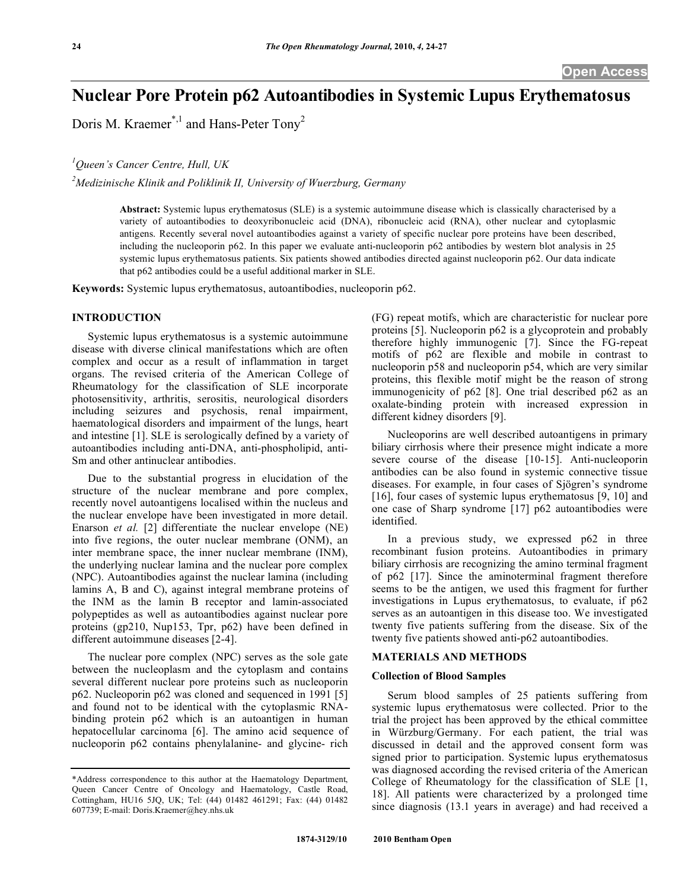# **Nuclear Pore Protein p62 Autoantibodies in Systemic Lupus Erythematosus**

Doris M. Kraemer<sup>\*,1</sup> and Hans-Peter Tony<sup>2</sup>

*1 Queen's Cancer Centre, Hull, UK* 

*2 Medizinische Klinik and Poliklinik II, University of Wuerzburg, Germany* 

**Abstract:** Systemic lupus erythematosus (SLE) is a systemic autoimmune disease which is classically characterised by a variety of autoantibodies to deoxyribonucleic acid (DNA), ribonucleic acid (RNA), other nuclear and cytoplasmic antigens. Recently several novel autoantibodies against a variety of specific nuclear pore proteins have been described, including the nucleoporin p62. In this paper we evaluate anti-nucleoporin p62 antibodies by western blot analysis in 25 systemic lupus erythematosus patients. Six patients showed antibodies directed against nucleoporin p62. Our data indicate that p62 antibodies could be a useful additional marker in SLE.

**Keywords:** Systemic lupus erythematosus, autoantibodies, nucleoporin p62.

#### **INTRODUCTION**

 Systemic lupus erythematosus is a systemic autoimmune disease with diverse clinical manifestations which are often complex and occur as a result of inflammation in target organs. The revised criteria of the American College of Rheumatology for the classification of SLE incorporate photosensitivity, arthritis, serositis, neurological disorders including seizures and psychosis, renal impairment, haematological disorders and impairment of the lungs, heart and intestine [1]. SLE is serologically defined by a variety of autoantibodies including anti-DNA, anti-phospholipid, anti-Sm and other antinuclear antibodies.

 Due to the substantial progress in elucidation of the structure of the nuclear membrane and pore complex, recently novel autoantigens localised within the nucleus and the nuclear envelope have been investigated in more detail. Enarson *et al.* [2] differentiate the nuclear envelope (NE) into five regions, the outer nuclear membrane (ONM), an inter membrane space, the inner nuclear membrane (INM), the underlying nuclear lamina and the nuclear pore complex (NPC). Autoantibodies against the nuclear lamina (including lamins A, B and C), against integral membrane proteins of the INM as the lamin B receptor and lamin-associated polypeptides as well as autoantibodies against nuclear pore proteins (gp210, Nup153, Tpr, p62) have been defined in different autoimmune diseases [2-4].

 The nuclear pore complex (NPC) serves as the sole gate between the nucleoplasm and the cytoplasm and contains several different nuclear pore proteins such as nucleoporin p62. Nucleoporin p62 was cloned and sequenced in 1991 [5] and found not to be identical with the cytoplasmic RNAbinding protein p62 which is an autoantigen in human hepatocellular carcinoma [6]. The amino acid sequence of nucleoporin p62 contains phenylalanine- and glycine- rich

(FG) repeat motifs, which are characteristic for nuclear pore proteins [5]. Nucleoporin p62 is a glycoprotein and probably therefore highly immunogenic [7]. Since the FG-repeat motifs of p62 are flexible and mobile in contrast to nucleoporin p58 and nucleoporin p54, which are very similar proteins, this flexible motif might be the reason of strong immunogenicity of p62 [8]. One trial described p62 as an oxalate-binding protein with increased expression in different kidney disorders [9].

 Nucleoporins are well described autoantigens in primary biliary cirrhosis where their presence might indicate a more severe course of the disease [10-15]. Anti-nucleoporin antibodies can be also found in systemic connective tissue diseases. For example, in four cases of Sjögren's syndrome [16], four cases of systemic lupus erythematosus [9, 10] and one case of Sharp syndrome [17] p62 autoantibodies were identified.

 In a previous study, we expressed p62 in three recombinant fusion proteins. Autoantibodies in primary biliary cirrhosis are recognizing the amino terminal fragment of p62 [17]. Since the aminoterminal fragment therefore seems to be the antigen, we used this fragment for further investigations in Lupus erythematosus, to evaluate, if p62 serves as an autoantigen in this disease too. We investigated twenty five patients suffering from the disease. Six of the twenty five patients showed anti-p62 autoantibodies.

# **MATERIALS AND METHODS**

# **Collection of Blood Samples**

 Serum blood samples of 25 patients suffering from systemic lupus erythematosus were collected. Prior to the trial the project has been approved by the ethical committee in Würzburg/Germany. For each patient, the trial was discussed in detail and the approved consent form was signed prior to participation. Systemic lupus erythematosus was diagnosed according the revised criteria of the American College of Rheumatology for the classification of SLE [1, 18]. All patients were characterized by a prolonged time since diagnosis (13.1 years in average) and had received a

<sup>\*</sup>Address correspondence to this author at the Haematology Department, Queen Cancer Centre of Oncology and Haematology, Castle Road, Cottingham, HU16 5JQ, UK; Tel: (44) 01482 461291; Fax: (44) 01482 607739; E-mail: Doris.Kraemer@hey.nhs.uk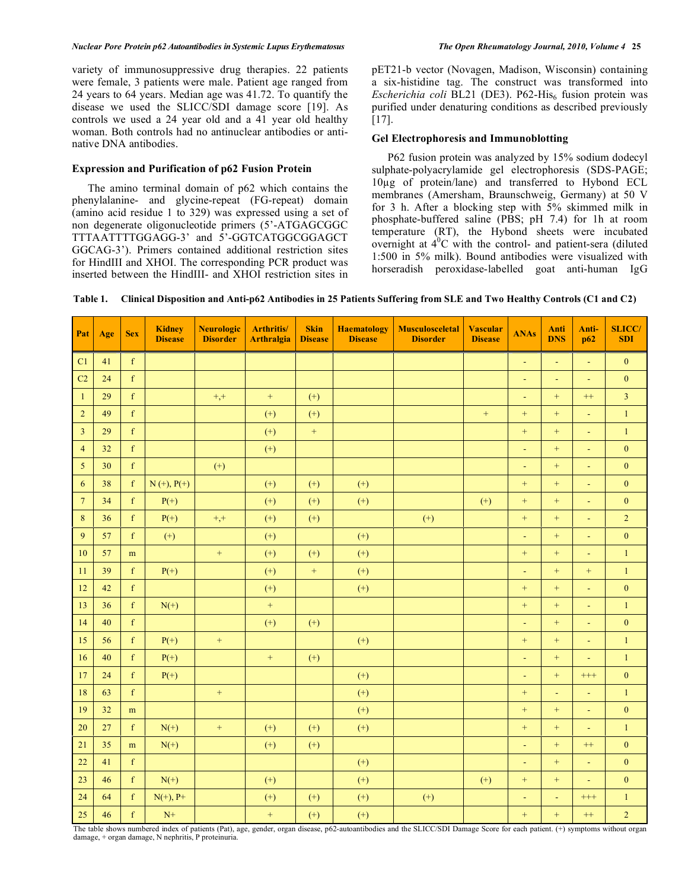#### *Nuclear Pore Protein p62 Autoantibodies in Systemic Lupus Erythematosus The Open Rheumatology Journal, 2010, Volume 4* **25**

variety of immunosuppressive drug therapies. 22 patients were female, 3 patients were male. Patient age ranged from 24 years to 64 years. Median age was 41.72. To quantify the disease we used the SLICC/SDI damage score [19]. As controls we used a 24 year old and a 41 year old healthy woman. Both controls had no antinuclear antibodies or antinative DNA antibodies.

# **Expression and Purification of p62 Fusion Protein**

 The amino terminal domain of p62 which contains the phenylalanine- and glycine-repeat (FG-repeat) domain (amino acid residue 1 to 329) was expressed using a set of non degenerate oligonucleotide primers (5'-ATGAGCGGC TTTAATTTTGGAGG-3' and 5'-GGTCATGGCGGAGCT GGCAG-3'). Primers contained additional restriction sites for HindIII and XHOI. The corresponding PCR product was inserted between the HindIII- and XHOI restriction sites in

pET21-b vector (Novagen, Madison, Wisconsin) containing a six-histidine tag. The construct was transformed into *Escherichia coli* BL21 (DE3). P62-His<sub>6</sub> fusion protein was purified under denaturing conditions as described previously [17].

# **Gel Electrophoresis and Immunoblotting**

 P62 fusion protein was analyzed by 15% sodium dodecyl sulphate-polyacrylamide gel electrophoresis (SDS-PAGE; 10g of protein/lane) and transferred to Hybond ECL membranes (Amersham, Braunschweig, Germany) at 50 V for 3 h. After a blocking step with 5% skimmed milk in phosphate-buffered saline (PBS; pH 7.4) for 1h at room temperature (RT), the Hybond sheets were incubated overnight at  $4^{0}$ C with the control- and patient-sera (diluted 1:500 in 5% milk). Bound antibodies were visualized with horseradish peroxidase-labelled goat anti-human IgG

|  | Table 1. Clinical Disposition and Anti-p62 Antibodies in 25 Patients Suffering from SLE and Two Healthy Controls (C1 and C2) |  |
|--|------------------------------------------------------------------------------------------------------------------------------|--|
|  |                                                                                                                              |  |

| Pat            | Age | <b>Sex</b>  | <b>Kidney</b><br><b>Disease</b>                               | <b>Neurologic</b><br><b>Disorder</b> | <b>Arthritis/</b><br><b>Arthralgia</b> | <b>Skin</b><br><b>Disease</b> | <b>Haematology</b><br><b>Disease</b> | <b>Musculosceletal</b><br><b>Disorder</b>                                                    | <b>Vascular</b><br><b>Disease</b> | <b>ANAs</b>       | Anti<br><b>DNS</b> | Anti-<br>p62                 | <b>SLICC/</b><br><b>SDI</b> |
|----------------|-----|-------------|---------------------------------------------------------------|--------------------------------------|----------------------------------------|-------------------------------|--------------------------------------|----------------------------------------------------------------------------------------------|-----------------------------------|-------------------|--------------------|------------------------------|-----------------------------|
| C1             | 41  | $\mathbf f$ |                                                               |                                      |                                        |                               |                                      |                                                                                              |                                   | Ξ                 | L,                 | ÷,                           | $\boldsymbol{0}$            |
| C <sub>2</sub> | 24  | f           |                                                               |                                      |                                        |                               |                                      |                                                                                              |                                   | $\blacksquare$    | ä,                 | Ξ                            | $\mathbf{0}$                |
| $\mathbf{1}$   | 29  | $\mathbf f$ |                                                               | $+,+$                                | $\, +$                                 | $(+)$                         |                                      |                                                                                              |                                   | $\blacksquare$    | $+$                | $^{++}$                      | $\overline{3}$              |
| $\overline{2}$ | 49  | $\mathbf f$ |                                                               |                                      | $(+)$                                  | $^{(+)}$                      |                                      |                                                                                              | $^{+}$                            | $+$               | $+$                | Ξ                            | $\mathbf{1}$                |
| $\mathfrak{Z}$ | 29  | $\mathbf f$ |                                                               |                                      | $(+)$                                  | $\, +$                        |                                      |                                                                                              |                                   | $+$               | $+$                | $\blacksquare$               | $\,1\,$                     |
| $\overline{4}$ | 32  | $\mathbf f$ |                                                               |                                      | $(+)$                                  |                               |                                      |                                                                                              |                                   | $\blacksquare$    | $+$                | Ξ                            | $\boldsymbol{0}$            |
| 5              | 30  | $\mathbf f$ |                                                               | $(+)$                                |                                        |                               |                                      |                                                                                              |                                   | $\blacksquare$    | $+$                | $\blacksquare$               | $\boldsymbol{0}$            |
| 6              | 38  | $\mathbf f$ | $N (+), P(+)$                                                 |                                      | $(+)$                                  | $(+)$                         | $^{(+)}$                             |                                                                                              |                                   | $^{+}$            | $+$                | Ξ                            | $\boldsymbol{0}$            |
| $\overline{7}$ | 34  | $\mathbf f$ | $P(+)$                                                        |                                      | $(+)$                                  | $^{(+)}$                      | $^{(+)}$                             |                                                                                              | $^{(+)}$                          | $+$               | $+$                | Ξ                            | $\boldsymbol{0}$            |
| 8              | 36  | $\mathbf f$ | $P(+)$                                                        | $+,+$                                | $(+)$                                  | $(+)$                         |                                      | $(+)$                                                                                        |                                   | $+$               | $+$                | ä,                           | $\overline{2}$              |
| 9              | 57  | $\mathbf f$ | $(+)$                                                         |                                      | $(+)$                                  |                               | $(+)$                                |                                                                                              |                                   | $\blacksquare$    | $^{+}$             | Ξ                            | $\boldsymbol{0}$            |
| 10             | 57  | m           |                                                               | $\boldsymbol{+}$                     | $(+)$                                  | $(+)$                         | $(+)$                                |                                                                                              |                                   | $+$               | $^{+}$             | $\Box$                       | $\,1\,$                     |
| 11             | 39  | $\mathbf f$ | $P(+)$                                                        |                                      | $(+)$                                  | $\qquad \qquad +$             | $^{(+)}$                             |                                                                                              |                                   | ä,                | $+$                | $^{+}$                       | $\,1\,$                     |
| 12             | 42  | f           |                                                               |                                      | $(+)$                                  |                               | $(+)$                                |                                                                                              |                                   | $+$               | $+$                | ä,                           | $\boldsymbol{0}$            |
| 13             | 36  | $\mathbf f$ | $N(+)$                                                        |                                      | $+$                                    |                               |                                      |                                                                                              |                                   | $+$               | $^{+}$             | Ξ                            | $\mathbf{1}$                |
| 14             | 40  | $\mathbf f$ |                                                               |                                      | $(+)$                                  | $(+)$                         |                                      |                                                                                              |                                   | $\blacksquare$    | $^{+}$             | Ξ                            | $\boldsymbol{0}$            |
| 15             | 56  | $\mathbf f$ | $P(+)$                                                        | $\color{red}+$                       |                                        |                               | $^{(+)}$                             |                                                                                              |                                   | $+$               | $+$                | ÷,                           | $1\,$                       |
| 16             | 40  | f           | $P(+)$                                                        |                                      | $\pm$                                  | $(+)$                         |                                      |                                                                                              |                                   | $\blacksquare$    | $+$                | ä,                           | $\mathbf{1}$                |
| 17             | 24  | $\mathbf f$ | $P(+)$                                                        |                                      |                                        |                               | $(+)$                                |                                                                                              |                                   | $\blacksquare$    | $+$                | $^{+++}$                     | $\boldsymbol{0}$            |
| 18             | 63  | $\mathbf f$ |                                                               | $^{+}$                               |                                        |                               | $^{(+)}$                             |                                                                                              |                                   | $+$               | ÷,                 | $\blacksquare$               | $\,1\,$                     |
| 19             | 32  | ${\bf m}$   |                                                               |                                      |                                        |                               | $^{(+)}$                             |                                                                                              |                                   | $\qquad \qquad +$ | $+$                | Ξ                            | $\boldsymbol{0}$            |
| 20             | 27  | $\mathbf f$ | $N(+)$                                                        | $+$                                  | $(+)$                                  | $(+)$                         | $(+)$                                |                                                                                              |                                   | $+$               | $+$                | $\blacksquare$               | $\mathbf{1}$                |
| 21             | 35  | m           | $N(+)$                                                        |                                      | $(+)$                                  | $(+)$                         |                                      |                                                                                              |                                   | $\blacksquare$    | $+$                | $^{++}$                      | $\boldsymbol{0}$            |
| 22             | 41  | $\mathbf f$ |                                                               |                                      |                                        |                               | $^{(+)}$                             |                                                                                              |                                   | $\blacksquare$    | $+$                | Ξ                            | $\boldsymbol{0}$            |
| 23             | 46  | $\mathbf f$ | $N(+)$                                                        |                                      | $(+)$                                  |                               | $^{(+)}$                             |                                                                                              | $(+)$                             | $+$               | $+$                | Ξ                            | $\boldsymbol{0}$            |
| 24             | 64  | f           | $N(+), P+$                                                    |                                      | $(+)$                                  | $(+)$                         | $(+)$                                | $^{(+)}$                                                                                     |                                   | $\blacksquare$    | $\blacksquare$     | $^{+++}$                     | $\mathbf{1}$                |
| 25             | 46  | $\mathbf f$ | $N+$<br>The toble shows mumbered index of notionts (Bot), ago |                                      | $\qquad \qquad +$                      | $(+)$                         | $(+)$                                | condor argan disease, n62 automptibiodies and the SLICC/SDLDemage Seems for such nations (1) |                                   | $+$               | $+$                | $^{++}$<br>anantana mitana a | $\overline{2}$              |

The table shows numbered index of patients (Pat), age, gender, organ disease, p62-autoantibodies and the SLICC/SDI Damage Score for each patient. (+) symptoms without organ damage, + organ damage, N nephritis, P proteinuria.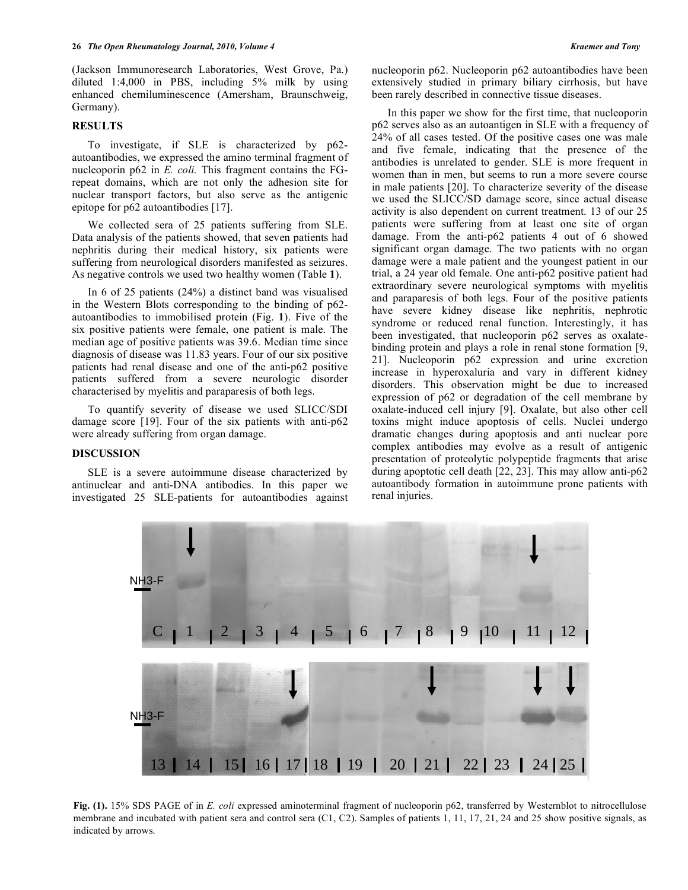(Jackson Immunoresearch Laboratories, West Grove, Pa.) diluted 1:4,000 in PBS, including 5% milk by using enhanced chemiluminescence (Amersham, Braunschweig, Germany).

#### **RESULTS**

 To investigate, if SLE is characterized by p62 autoantibodies, we expressed the amino terminal fragment of nucleoporin p62 in *E. coli.* This fragment contains the FGrepeat domains, which are not only the adhesion site for nuclear transport factors, but also serve as the antigenic epitope for p62 autoantibodies [17].

 We collected sera of 25 patients suffering from SLE. Data analysis of the patients showed, that seven patients had nephritis during their medical history, six patients were suffering from neurological disorders manifested as seizures. As negative controls we used two healthy women (Table **1**).

 In 6 of 25 patients (24%) a distinct band was visualised in the Western Blots corresponding to the binding of p62 autoantibodies to immobilised protein (Fig. **1**). Five of the six positive patients were female, one patient is male. The median age of positive patients was 39.6. Median time since diagnosis of disease was 11.83 years. Four of our six positive patients had renal disease and one of the anti-p62 positive patients suffered from a severe neurologic disorder characterised by myelitis and paraparesis of both legs.

 To quantify severity of disease we used SLICC/SDI damage score [19]. Four of the six patients with anti-p62 were already suffering from organ damage.

## **DISCUSSION**

 SLE is a severe autoimmune disease characterized by antinuclear and anti-DNA antibodies. In this paper we investigated 25 SLE-patients for autoantibodies against nucleoporin p62. Nucleoporin p62 autoantibodies have been extensively studied in primary biliary cirrhosis, but have been rarely described in connective tissue diseases.

 In this paper we show for the first time, that nucleoporin p62 serves also as an autoantigen in SLE with a frequency of 24% of all cases tested. Of the positive cases one was male and five female, indicating that the presence of the antibodies is unrelated to gender. SLE is more frequent in women than in men, but seems to run a more severe course in male patients [20]. To characterize severity of the disease we used the SLICC/SD damage score, since actual disease activity is also dependent on current treatment. 13 of our 25 patients were suffering from at least one site of organ damage. From the anti-p62 patients 4 out of 6 showed significant organ damage. The two patients with no organ damage were a male patient and the youngest patient in our trial, a 24 year old female. One anti-p62 positive patient had extraordinary severe neurological symptoms with myelitis and paraparesis of both legs. Four of the positive patients have severe kidney disease like nephritis, nephrotic syndrome or reduced renal function. Interestingly, it has been investigated, that nucleoporin p62 serves as oxalatebinding protein and plays a role in renal stone formation [9, 21]. Nucleoporin p62 expression and urine excretion increase in hyperoxaluria and vary in different kidney disorders. This observation might be due to increased expression of p62 or degradation of the cell membrane by oxalate-induced cell injury [9]. Oxalate, but also other cell toxins might induce apoptosis of cells. Nuclei undergo dramatic changes during apoptosis and anti nuclear pore complex antibodies may evolve as a result of antigenic presentation of proteolytic polypeptide fragments that arise during apoptotic cell death [22, 23]. This may allow anti-p62 autoantibody formation in autoimmune prone patients with renal injuries.



**Fig. (1).** 15% SDS PAGE of in *E. coli* expressed aminoterminal fragment of nucleoporin p62, transferred by Westernblot to nitrocellulose membrane and incubated with patient sera and control sera (C1, C2). Samples of patients 1, 11, 17, 21, 24 and 25 show positive signals, as indicated by arrows.